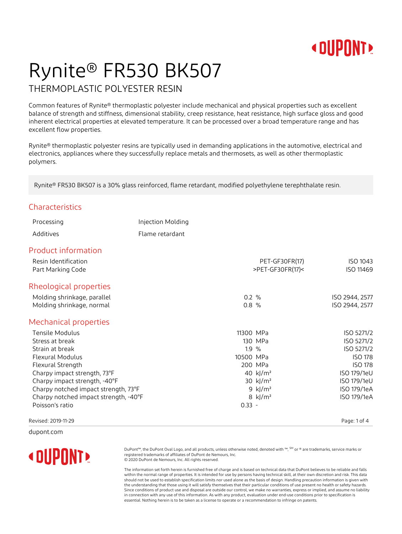

## Rynite® FR530 BK507

#### THERMOPLASTIC POLYESTER RESIN

Common features of Rynite® thermoplastic polyester include mechanical and physical properties such as excellent balance of strength and stiffness, dimensional stability, creep resistance, heat resistance, high surface gloss and good inherent electrical properties at elevated temperature. It can be processed over a broad temperature range and has excellent flow properties.

Rynite® thermoplastic polyester resins are typically used in demanding applications in the automotive, electrical and electronics, appliances where they successfully replace metals and thermosets, as well as other thermoplastic polymers.

Rynite® FR530 BK507 is a 30% glass reinforced, flame retardant, modified polyethylene terephthalate resin.

#### Characteristics

| Processing                                | Injection Molding |           |                                    |                       |
|-------------------------------------------|-------------------|-----------|------------------------------------|-----------------------|
| Additives                                 | Flame retardant   |           |                                    |                       |
| <b>Product information</b>                |                   |           |                                    |                       |
| Resin Identification<br>Part Marking Code |                   |           | PET-GF30FR(17)<br>>PET-GF30FR(17)< | ISO 1043<br>ISO 11469 |
| Rheological properties                    |                   |           |                                    |                       |
| Molding shrinkage, parallel               |                   | $0.2 \%$  |                                    | ISO 2944, 2577        |
| Molding shrinkage, normal                 |                   | 0.8%      |                                    | ISO 2944, 2577        |
| Mechanical properties                     |                   |           |                                    |                       |
| Tensile Modulus                           |                   | 11300 MPa |                                    | ISO 5271/2            |
| Stress at break                           |                   |           | 130 MPa                            | ISO 5271/2            |
| Strain at break                           |                   | 1.9%      |                                    | ISO 5271/2            |
| <b>Flexural Modulus</b>                   |                   | 10500 MPa |                                    | <b>ISO 178</b>        |
| Flexural Strength                         |                   |           | 200 MPa                            | <b>ISO 178</b>        |
| Charpy impact strength, 73°F              |                   |           | 40 kJ/m <sup>2</sup>               | ISO 179/1eU           |
| Charpy impact strength, -40°F             |                   |           | 30 $k$ $/m2$                       | ISO 179/1eU           |
| Charpy notched impact strength, 73°F      |                   |           | 9 $k$ $/m2$                        | ISO 179/1eA           |
| Charpy notched impact strength, -40°F     |                   |           | 8 $k/m^2$                          | ISO 179/1eA           |
| Poisson's ratio                           |                   | $0.33 -$  |                                    |                       |
| Revised: 2019-11-29                       |                   |           |                                    | Page: 1 of 4          |

dupont.com



DuPont™, the DuPont Oval Logo, and all products, unless otherwise noted, denoted with ™, SM or ® are trademarks, service marks or registered trademarks of affiliates of DuPont de Nemours, Inc. © 2020 DuPont de Nemours, Inc. All rights reserved.

The information set forth herein is furnished free of charge and is based on technical data that DuPont believes to be reliable and falls within the normal range of properties. It is intended for use by persons having technical skill, at their own discretion and risk. This data should not be used to establish specification limits nor used alone as the basis of design. Handling precaution information is given with the understanding that those using it will satisfy themselves that their particular conditions of use present no health or safety hazards. Since conditions of product use and disposal are outside our control, we make no warranties, express or implied, and assume no liability in connection with any use of this information. As with any product, evaluation under end-use conditions prior to specification is essential. Nothing herein is to be taken as a license to operate or a recommendation to infringe on patents.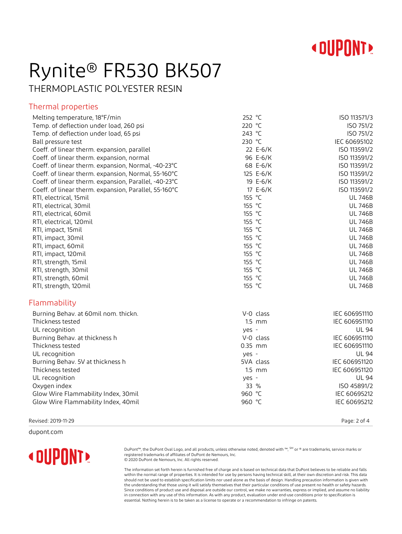

### Rynite® FR530 BK507

THERMOPLASTIC POLYESTER RESIN

#### Thermal properties

| Melting temperature, 18°F/min                         | 252 °C    | ISO 113571/3   |
|-------------------------------------------------------|-----------|----------------|
| Temp. of deflection under load, 260 psi               | 220 °C    | ISO 751/2      |
| Temp. of deflection under load, 65 psi                | 243 °C    | ISO 751/2      |
| Ball pressure test                                    | 230 °C    | IEC 60695102   |
| Coeff. of linear therm. expansion, parallel           | 22 E-6/K  | ISO 113591/2   |
| Coeff. of linear therm. expansion, normal             | 96 E-6/K  | ISO 113591/2   |
| Coeff. of linear therm. expansion, Normal, -40-23°C   | 68 E-6/K  | ISO 113591/2   |
| Coeff. of linear therm. expansion, Normal, 55-160°C   | 125 E-6/K | ISO 113591/2   |
| Coeff. of linear therm. expansion, Parallel, -40-23°C | 19 E-6/K  | ISO 113591/2   |
| Coeff. of linear therm. expansion, Parallel, 55-160°C | 17 E-6/K  | ISO 113591/2   |
| RTI, electrical, 15mil                                | 155 °C    | <b>UL 746B</b> |
| RTI, electrical, 30mil                                | 155 °C    | <b>UL 746B</b> |
| RTI, electrical, 60mil                                | 155 °C    | <b>UL 746B</b> |
| RTI, electrical, 120mil                               | 155 °C    | <b>UL 746B</b> |
| RTI, impact, 15mil                                    | 155 °C    | <b>UL 746B</b> |
| RTI, impact, 30mil                                    | 155 °C    | <b>UL 746B</b> |
| RTI, impact, 60mil                                    | 155 °C    | <b>UL 746B</b> |
| RTI, impact, 120mil                                   | 155 °C    | <b>UL 746B</b> |
| RTI, strength, 15mil                                  | 155 °C    | <b>UL 746B</b> |
| RTI, strength, 30mil                                  | 155 °C    | <b>UL 746B</b> |
| RTI, strength, 60mil                                  | 155 °C    | <b>UL 746B</b> |
| RTI, strength, 120mil                                 | 155 °C    | <b>UL 746B</b> |
| Flammability                                          |           |                |
| Burning Behav. at 60mil nom. thickn.                  | V-0 class | IEC 606951110  |
| Thickness tested                                      | $1.5$ mm  | IEC 606951110  |
| UL recognition                                        | yes -     | <b>UL 94</b>   |
| Burning Behav. at thickness h                         | V-0 class | IEC 606951110  |
| Thickness tested                                      | $0.35$ mm | IEC 606951110  |
| UL recognition                                        | yes -     | <b>UL 94</b>   |
| Burning Behav. 5V at thickness h                      | 5VA class | IEC 606951120  |
| Thickness tested                                      | $1.5$ mm  | IEC 606951120  |
| UL recognition                                        | yes -     | <b>UL 94</b>   |
| Oxygen index                                          | 33 %      | ISO 45891/2    |
| Glow Wire Flammability Index, 30mil                   | 960 °C    | IEC 60695212   |
| Glow Wire Flammability Index, 40mil                   | 960 °C    | IEC 60695212   |
|                                                       |           |                |

Revised: 2019-11-29 Page: 2 of 4

dupont.com



DuPont™, the DuPont Oval Logo, and all products, unless otherwise noted, denoted with ™, <sup>SM</sup> or ® are trademarks, service marks or<br>registered trademarks of affiliates of DuPont de Nemours, Inc.<br>© 2020 DuPont de Nemours,

The information set forth herein is furnished free of charge and is based on technical data that DuPont believes to be reliable and falls within the normal range of properties. It is intended for use by persons having technical skill, at their own discretion and risk. This data should not be used to establish specification limits nor used alone as the basis of design. Handling precaution information is given with the understanding that those using it will satisfy themselves that their particular conditions of use present no health or safety hazards. Since conditions of product use and disposal are outside our control, we make no warranties, express or implied, and assume no liability in connection with any use of this information. As with any product, evaluation under end-use conditions prior to specification is essential. Nothing herein is to be taken as a license to operate or a recommendation to infringe on patents.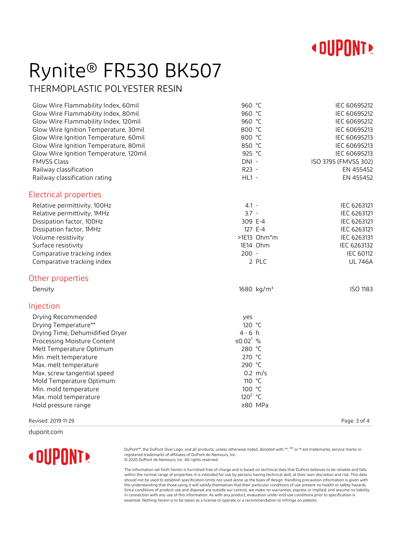

# Rynite® FR530 BK507

THERMOPLASTIC POLYESTER RESIN

| Glow Wire Flammability Index, 60mil    | 960 °C                 | IEC 60695212         |
|----------------------------------------|------------------------|----------------------|
| Glow Wire Flammability Index, 80mil    | 960 °C                 | IEC 60695212         |
| Glow Wire Flammability Index, 120mil   | 960 °C                 | IEC 60695212         |
| Glow Wire Ignition Temperature, 30mil  | 800 °C                 | IEC 60695213         |
| Glow Wire Ignition Temperature, 60mil  | 800 °C                 | IEC 60695213         |
| Glow Wire Ignition Temperature, 80mil  | 850 °C                 | IEC 60695213         |
| Glow Wire Ignition Temperature, 120mil | 925 °C                 | IEC 60695213         |
| <b>FMVSS Class</b>                     | DNI-                   | ISO 3795 (FMVSS 302) |
| Railway classification                 | R23 -                  | EN 455452            |
| Railway classification rating          | $HL1 -$                | EN 455452            |
| Electrical properties                  |                        |                      |
| Relative permittivity, 100Hz           | $4.1 -$                | IEC 6263121          |
| Relative permittivity, 1MHz            | $3.7 -$                | IEC 6263121          |
| Dissipation factor, 100Hz              | 309 E-4                | IEC 6263121          |
| Dissipation factor, 1MHz               | 127 E-4                | IEC 6263121          |
| Volume resistivity                     | $>1E13$ Ohm*m          | IEC 6263131          |
| Surface resistivity                    | 1E14 Ohm               | IEC 6263132          |
| Comparative tracking index             | $200 -$                | IEC 60112            |
| Comparative tracking index             | 2 PLC                  | <b>UL 746A</b>       |
| Other properties                       |                        |                      |
| Density                                | 1680 kg/m <sup>3</sup> | ISO 1183             |
| Injection                              |                        |                      |
| Drying Recommended                     | yes                    |                      |
| Drying Temperature**                   | 120 °C                 |                      |
| Drying Time, Dehumidified Dryer        | $4 - 6 h$              |                      |
| Processing Moisture Content            | ≤0.02 <sup>1</sup> %   |                      |
| Melt Temperature Optimum               | 280 °C                 |                      |
| Min. melt temperature                  | 270 °C                 |                      |
| Max. melt temperature                  | 290 °C                 |                      |
| Max. screw tangential speed            | $0.2 \, m/s$           |                      |
| Mold Temperature Optimum               | 110 °C                 |                      |
| Min. mold temperature                  | 100 °C                 |                      |
| Max. mold temperature                  | 120 $^{2}$ °C          |                      |
| Hold pressure range                    | ≥80 MPa                |                      |
| Revised: 2019-11-29                    |                        | Page: 3 of 4         |

dupont.com



DuPont™, the DuPont Oval Logo, and all products, unless otherwise noted, denoted with ™, <sup>SM</sup> or ® are trademarks, service marks or<br>registered trademarks of affiliates of DuPont de Nemours, Inc.<br>© 2020 DuPont de Nemours,

The information set forth herein is furnished free of charge and is based on technical data that DuPont believes to be reliable and falls within the normal range of properties. It is intended for use by persons having technical skill, at their own discretion and risk. This data should not be used to establish specification limits nor used alone as the basis of design. Handling precaution information is given with the understanding that those using it will satisfy themselves that their particular conditions of use present no health or safety hazards. Since conditions of product use and disposal are outside our control, we make no warranties, express or implied, and assume no liability in connection with any use of this information. As with any product, evaluation under end-use conditions prior to specification is essential. Nothing herein is to be taken as a license to operate or a recommendation to infringe on patents.